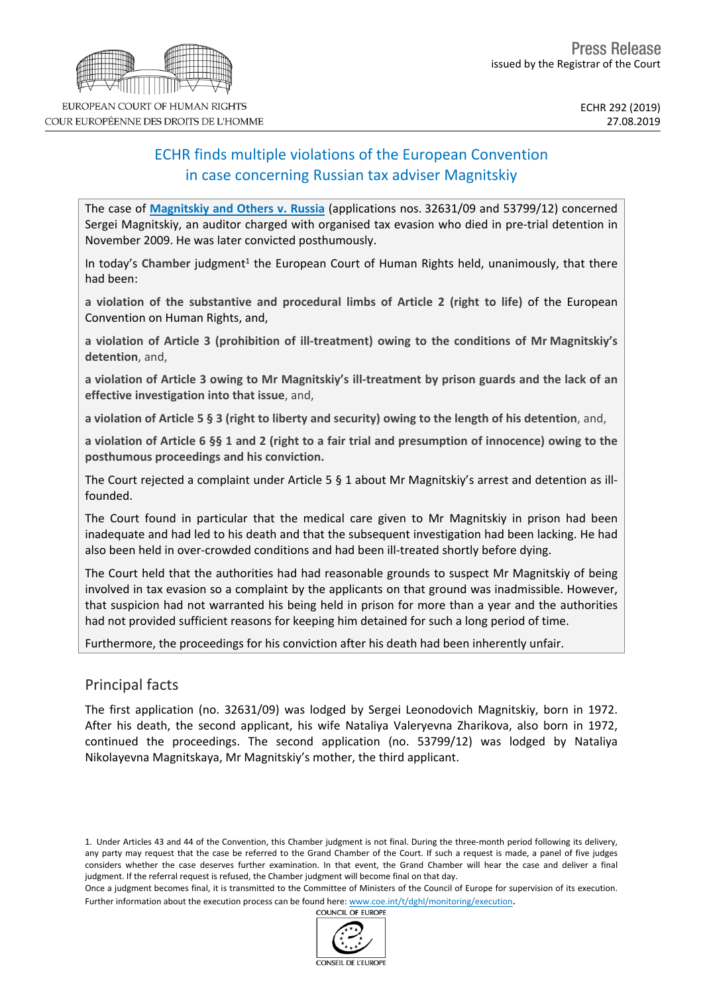# ECHR finds multiple violations of the European Convention in case concerning Russian tax adviser Magnitskiy

The case of **[Magnitskiy](http://hudoc.echr.coe.int/eng?i=001-195527) and Others v. Russia** (applications nos. 32631/09 and 53799/12) concerned Sergei Magnitskiy, an auditor charged with organised tax evasion who died in pre-trial detention in November 2009. He was later convicted posthumously.

In today's Chamber judgment<sup>1</sup> the European Court of Human Rights held, unanimously, that there had been:

**a violation of the substantive and procedural limbs of Article 2 (right to life)** of the European Convention on Human Rights, and,

**a violation of Article 3 (prohibition of ill-treatment) owing to the conditions of Mr Magnitskiy's detention**, and,

a violation of Article 3 owing to Mr Magnitskiy's ill-treatment by prison guards and the lack of an **effective investigation into that issue**, and,

a violation of Article 5 § 3 (right to liberty and security) owing to the length of his detention, and,

a violation of Article 6  $\S$ § 1 and 2 (right to a fair trial and presumption of innocence) owing to the **posthumous proceedings and his conviction.**

The Court rejected a complaint under Article 5 § 1 about Mr Magnitskiy's arrest and detention as illfounded.

The Court found in particular that the medical care given to Mr Magnitskiy in prison had been inadequate and had led to his death and that the subsequent investigation had been lacking. He had also been held in over-crowded conditions and had been ill-treated shortly before dying.

The Court held that the authorities had had reasonable grounds to suspect Mr Magnitskiy of being involved in tax evasion so a complaint by the applicants on that ground was inadmissible. However, that suspicion had not warranted his being held in prison for more than a year and the authorities had not provided sufficient reasons for keeping him detained for such a long period of time.

Furthermore, the proceedings for his conviction after his death had been inherently unfair.

## Principal facts

The first application (no. 32631/09) was lodged by Sergei Leonodovich Magnitskiy, born in 1972. After his death, the second applicant, his wife Nataliya Valeryevna Zharikova, also born in 1972, continued the proceedings. The second application (no. 53799/12) was lodged by Nataliya Nikolayevna Magnitskaya, Mr Magnitskiy's mother, the third applicant.

1. Under Articles 43 and 44 of the Convention, this Chamber judgment is not final. During the three-month period following its delivery, any party may request that the case be referred to the Grand Chamber of the Court. If such a request is made, a panel of five judges considers whether the case deserves further examination. In that event, the Grand Chamber will hear the case and deliver a final judgment. If the referral request is refused, the Chamber judgment will become final on that day.

Once a judgment becomes final, it is transmitted to the Committee of Ministers of the Council of Europe for supervision of its execution. Further information about the execution process can be found here: [www.coe.int/t/dghl/monitoring/execution](http://www.coe.int/t/dghl/monitoring/execution).<br>COUNCIL OF FUROPE

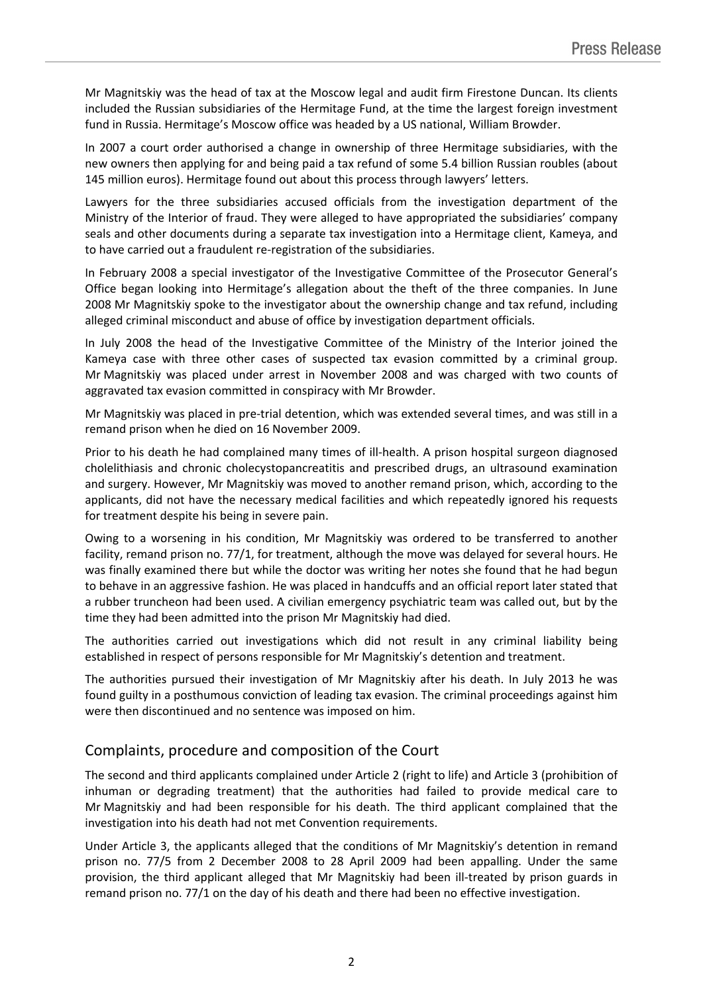Mr Magnitskiy was the head of tax at the Moscow legal and audit firm Firestone Duncan. Its clients included the Russian subsidiaries of the Hermitage Fund, at the time the largest foreign investment fund in Russia. Hermitage's Moscow office was headed by a US national, William Browder.

In 2007 a court order authorised a change in ownership of three Hermitage subsidiaries, with the new owners then applying for and being paid a tax refund of some 5.4 billion Russian roubles (about 145 million euros). Hermitage found out about this process through lawyers' letters.

Lawyers for the three subsidiaries accused officials from the investigation department of the Ministry of the Interior of fraud. They were alleged to have appropriated the subsidiaries' company seals and other documents during a separate tax investigation into a Hermitage client, Kameya, and to have carried out a fraudulent re-registration of the subsidiaries.

In February 2008 a special investigator of the Investigative Committee of the Prosecutor General's Office began looking into Hermitage's allegation about the theft of the three companies. In June 2008 Mr Magnitskiy spoke to the investigator about the ownership change and tax refund, including alleged criminal misconduct and abuse of office by investigation department officials.

In July 2008 the head of the Investigative Committee of the Ministry of the Interior joined the Kameya case with three other cases of suspected tax evasion committed by a criminal group. Mr Magnitskiy was placed under arrest in November 2008 and was charged with two counts of aggravated tax evasion committed in conspiracy with Mr Browder.

Mr Magnitskiy was placed in pre-trial detention, which was extended several times, and was still in a remand prison when he died on 16 November 2009.

Prior to his death he had complained many times of ill-health. A prison hospital surgeon diagnosed cholelithiasis and chronic cholecystopancreatitis and prescribed drugs, an ultrasound examination and surgery. However, Mr Magnitskiy was moved to another remand prison, which, according to the applicants, did not have the necessary medical facilities and which repeatedly ignored his requests for treatment despite his being in severe pain.

Owing to a worsening in his condition, Mr Magnitskiy was ordered to be transferred to another facility, remand prison no. 77/1, for treatment, although the move was delayed for several hours. He was finally examined there but while the doctor was writing her notes she found that he had begun to behave in an aggressive fashion. He was placed in handcuffs and an official report later stated that a rubber truncheon had been used. A civilian emergency psychiatric team was called out, but by the time they had been admitted into the prison Mr Magnitskiy had died.

The authorities carried out investigations which did not result in any criminal liability being established in respect of persons responsible for Mr Magnitskiy's detention and treatment.

The authorities pursued their investigation of Mr Magnitskiy after his death. In July 2013 he was found guilty in a posthumous conviction of leading tax evasion. The criminal proceedings against him were then discontinued and no sentence was imposed on him.

## Complaints, procedure and composition of the Court

The second and third applicants complained under Article 2 (right to life) and Article 3 (prohibition of inhuman or degrading treatment) that the authorities had failed to provide medical care to Mr Magnitskiy and had been responsible for his death. The third applicant complained that the investigation into his death had not met Convention requirements.

Under Article 3, the applicants alleged that the conditions of Mr Magnitskiy's detention in remand prison no. 77/5 from 2 December 2008 to 28 April 2009 had been appalling. Under the same provision, the third applicant alleged that Mr Magnitskiy had been ill-treated by prison guards in remand prison no. 77/1 on the day of his death and there had been no effective investigation.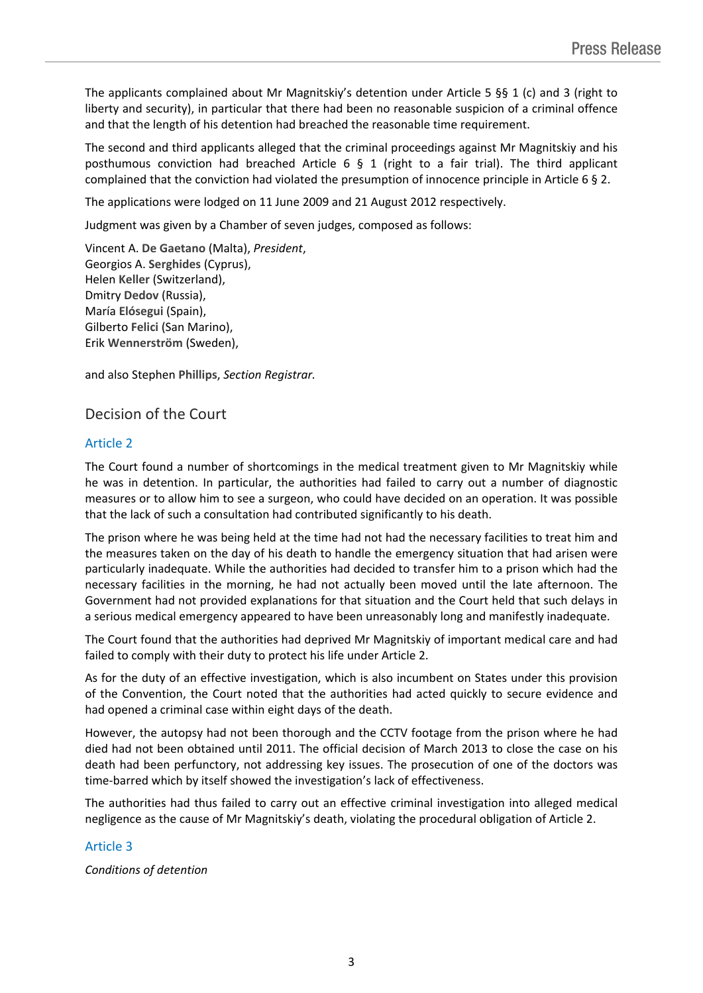The applicants complained about Mr Magnitskiy's detention under Article 5 §§ 1 (c) and 3 (right to liberty and security), in particular that there had been no reasonable suspicion of a criminal offence and that the length of his detention had breached the reasonable time requirement.

The second and third applicants alleged that the criminal proceedings against Mr Magnitskiy and his posthumous conviction had breached Article 6  $\S$  1 (right to a fair trial). The third applicant complained that the conviction had violated the presumption of innocence principle in Article 6 § 2.

The applications were lodged on 11 June 2009 and 21 August 2012 respectively.

Judgment was given by a Chamber of seven judges, composed as follows:

Vincent A. **De Gaetano** (Malta), *President*, Georgios A. **Serghides** (Cyprus), Helen **Keller** (Switzerland), Dmitry **Dedov** (Russia), María **Elósegui** (Spain), Gilberto **Felici** (San Marino), Erik **Wennerström** (Sweden),

and also Stephen **Phillips**, *Section Registrar.*

## Decision of the Court

#### Article 2

The Court found a number of shortcomings in the medical treatment given to Mr Magnitskiy while he was in detention. In particular, the authorities had failed to carry out a number of diagnostic measures or to allow him to see a surgeon, who could have decided on an operation. It was possible that the lack of such a consultation had contributed significantly to his death.

The prison where he was being held at the time had not had the necessary facilities to treat him and the measures taken on the day of his death to handle the emergency situation that had arisen were particularly inadequate. While the authorities had decided to transfer him to a prison which had the necessary facilities in the morning, he had not actually been moved until the late afternoon. The Government had not provided explanations for that situation and the Court held that such delays in a serious medical emergency appeared to have been unreasonably long and manifestly inadequate.

The Court found that the authorities had deprived Mr Magnitskiy of important medical care and had failed to comply with their duty to protect his life under Article 2.

As for the duty of an effective investigation, which is also incumbent on States under this provision of the Convention, the Court noted that the authorities had acted quickly to secure evidence and had opened a criminal case within eight days of the death.

However, the autopsy had not been thorough and the CCTV footage from the prison where he had died had not been obtained until 2011. The official decision of March 2013 to close the case on his death had been perfunctory, not addressing key issues. The prosecution of one of the doctors was time-barred which by itself showed the investigation's lack of effectiveness.

The authorities had thus failed to carry out an effective criminal investigation into alleged medical negligence as the cause of Mr Magnitskiy's death, violating the procedural obligation of Article 2.

#### Article 3

*Conditions of detention*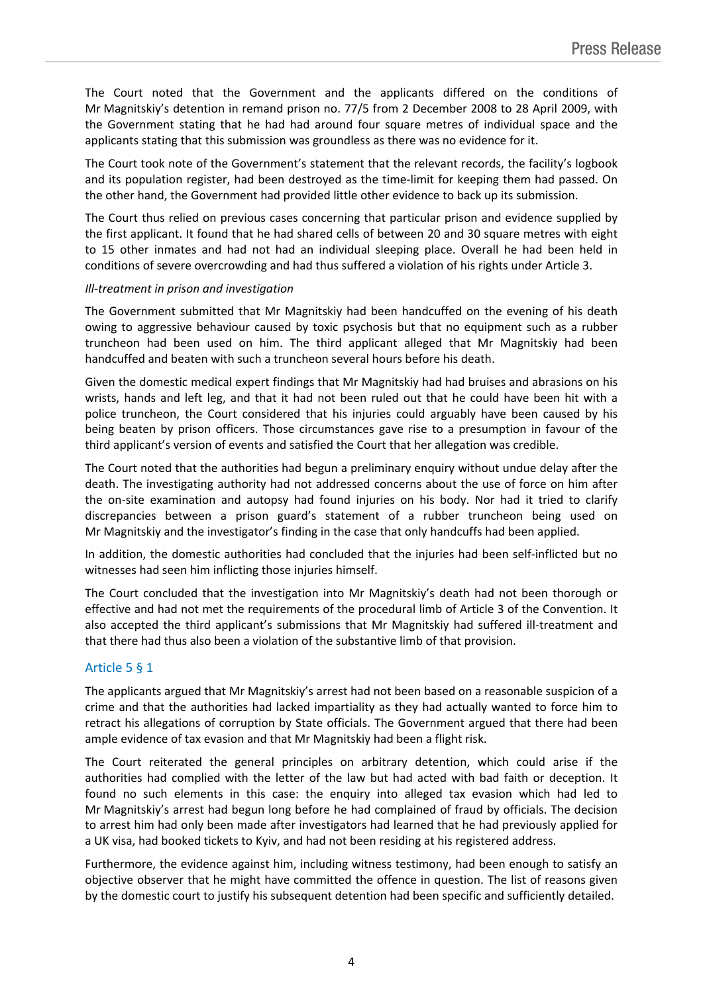The Court noted that the Government and the applicants differed on the conditions of Mr Magnitskiy's detention in remand prison no. 77/5 from 2 December 2008 to 28 April 2009, with the Government stating that he had had around four square metres of individual space and the applicants stating that this submission was groundless as there was no evidence for it.

The Court took note of the Government's statement that the relevant records, the facility's logbook and its population register, had been destroyed as the time-limit for keeping them had passed. On the other hand, the Government had provided little other evidence to back up its submission.

The Court thus relied on previous cases concerning that particular prison and evidence supplied by the first applicant. It found that he had shared cells of between 20 and 30 square metres with eight to 15 other inmates and had not had an individual sleeping place. Overall he had been held in conditions of severe overcrowding and had thus suffered a violation of his rights under Article 3.

#### *Ill-treatment in prison and investigation*

The Government submitted that Mr Magnitskiy had been handcuffed on the evening of his death owing to aggressive behaviour caused by toxic psychosis but that no equipment such as a rubber truncheon had been used on him. The third applicant alleged that Mr Magnitskiy had been handcuffed and beaten with such a truncheon several hours before his death.

Given the domestic medical expert findings that Mr Magnitskiy had had bruises and abrasions on his wrists, hands and left leg, and that it had not been ruled out that he could have been hit with a police truncheon, the Court considered that his injuries could arguably have been caused by his being beaten by prison officers. Those circumstances gave rise to a presumption in favour of the third applicant's version of events and satisfied the Court that her allegation was credible.

The Court noted that the authorities had begun a preliminary enquiry without undue delay after the death. The investigating authority had not addressed concerns about the use of force on him after the on-site examination and autopsy had found injuries on his body. Nor had it tried to clarify discrepancies between a prison guard's statement of a rubber truncheon being used on Mr Magnitskiy and the investigator's finding in the case that only handcuffs had been applied.

In addition, the domestic authorities had concluded that the injuries had been self-inflicted but no witnesses had seen him inflicting those injuries himself.

The Court concluded that the investigation into Mr Magnitskiy's death had not been thorough or effective and had not met the requirements of the procedural limb of Article 3 of the Convention. It also accepted the third applicant's submissions that Mr Magnitskiy had suffered ill-treatment and that there had thus also been a violation of the substantive limb of that provision.

## Article 5 § 1

The applicants argued that Mr Magnitskiy's arrest had not been based on a reasonable suspicion of a crime and that the authorities had lacked impartiality as they had actually wanted to force him to retract his allegations of corruption by State officials. The Government argued that there had been ample evidence of tax evasion and that Mr Magnitskiy had been a flight risk.

The Court reiterated the general principles on arbitrary detention, which could arise if the authorities had complied with the letter of the law but had acted with bad faith or deception. It found no such elements in this case: the enquiry into alleged tax evasion which had led to Mr Magnitskiy's arrest had begun long before he had complained of fraud by officials. The decision to arrest him had only been made after investigators had learned that he had previously applied for a UK visa, had booked tickets to Kyiv, and had not been residing at his registered address.

Furthermore, the evidence against him, including witness testimony, had been enough to satisfy an objective observer that he might have committed the offence in question. The list of reasons given by the domestic court to justify his subsequent detention had been specific and sufficiently detailed.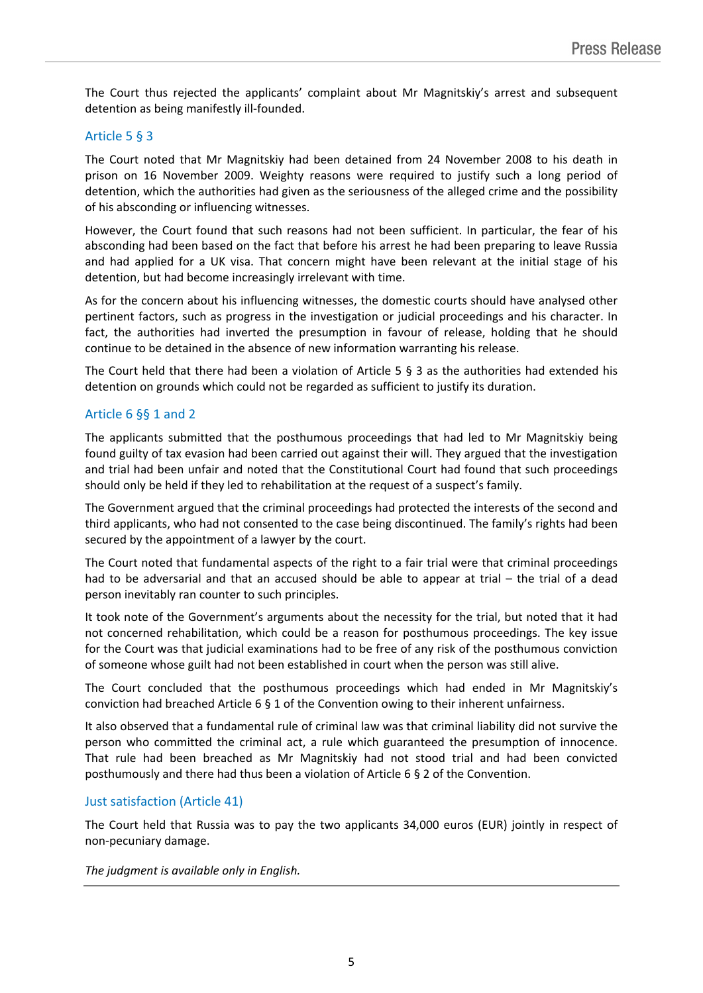The Court thus rejected the applicants' complaint about Mr Magnitskiy's arrest and subsequent detention as being manifestly ill-founded.

## Article 5 § 3

The Court noted that Mr Magnitskiy had been detained from 24 November 2008 to his death in prison on 16 November 2009. Weighty reasons were required to justify such a long period of detention, which the authorities had given as the seriousness of the alleged crime and the possibility of his absconding or influencing witnesses.

However, the Court found that such reasons had not been sufficient. In particular, the fear of his absconding had been based on the fact that before his arrest he had been preparing to leave Russia and had applied for a UK visa. That concern might have been relevant at the initial stage of his detention, but had become increasingly irrelevant with time.

As for the concern about his influencing witnesses, the domestic courts should have analysed other pertinent factors, such as progress in the investigation or judicial proceedings and his character. In fact, the authorities had inverted the presumption in favour of release, holding that he should continue to be detained in the absence of new information warranting his release.

The Court held that there had been a violation of Article 5 § 3 as the authorities had extended his detention on grounds which could not be regarded as sufficient to justify its duration.

## Article 6 §§ 1 and 2

The applicants submitted that the posthumous proceedings that had led to Mr Magnitskiy being found guilty of tax evasion had been carried out against their will. They argued that the investigation and trial had been unfair and noted that the Constitutional Court had found that such proceedings should only be held if they led to rehabilitation at the request of a suspect's family.

The Government argued that the criminal proceedings had protected the interests of the second and third applicants, who had not consented to the case being discontinued. The family's rights had been secured by the appointment of a lawyer by the court.

The Court noted that fundamental aspects of the right to a fair trial were that criminal proceedings had to be adversarial and that an accused should be able to appear at trial – the trial of a dead person inevitably ran counter to such principles.

It took note of the Government's arguments about the necessity for the trial, but noted that it had not concerned rehabilitation, which could be a reason for posthumous proceedings. The key issue for the Court was that judicial examinations had to be free of any risk of the posthumous conviction of someone whose guilt had not been established in court when the person was still alive.

The Court concluded that the posthumous proceedings which had ended in Mr Magnitskiy's conviction had breached Article 6 § 1 of the Convention owing to their inherent unfairness.

It also observed that a fundamental rule of criminal law was that criminal liability did not survive the person who committed the criminal act, a rule which guaranteed the presumption of innocence. That rule had been breached as Mr Magnitskiy had not stood trial and had been convicted posthumously and there had thus been a violation of Article 6 § 2 of the Convention.

## Just satisfaction (Article 41)

The Court held that Russia was to pay the two applicants 34,000 euros (EUR) jointly in respect of non-pecuniary damage.

*The judgment is available only in English.*